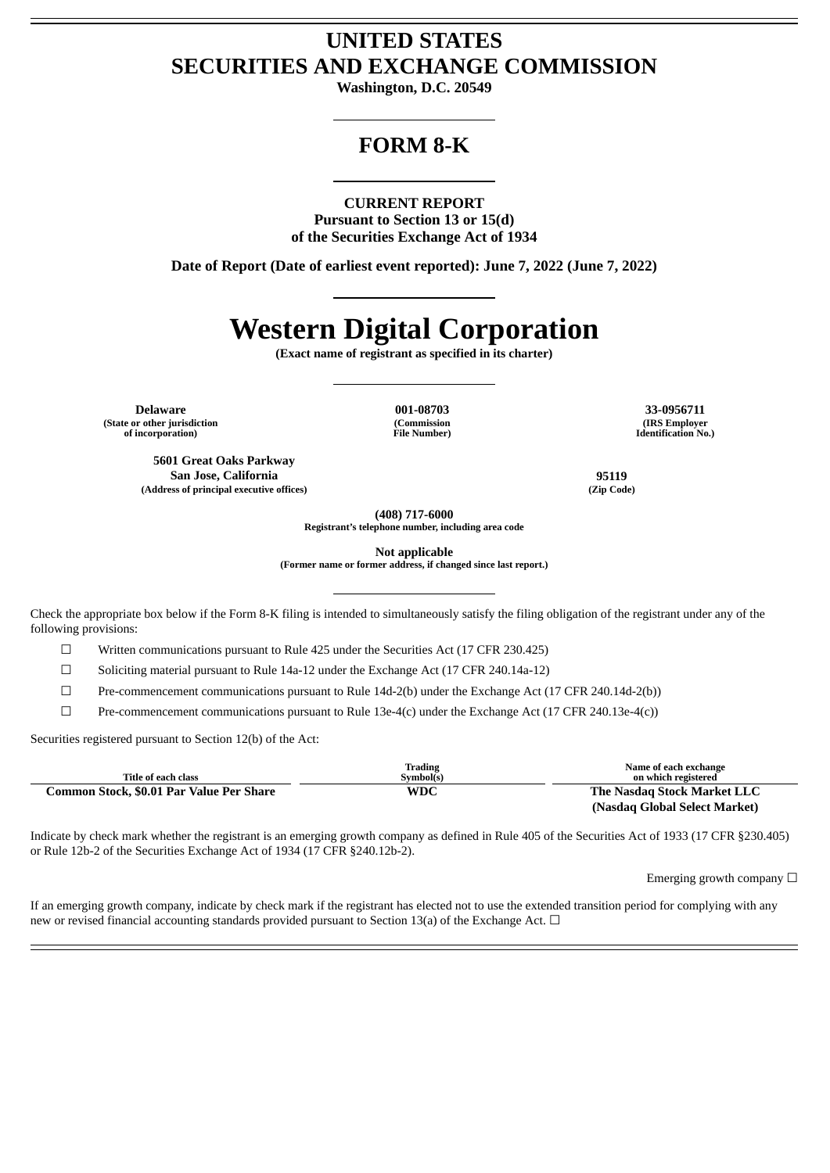# **UNITED STATES SECURITIES AND EXCHANGE COMMISSION**

**Washington, D.C. 20549**

# **FORM 8-K**

# **CURRENT REPORT**

**Pursuant to Section 13 or 15(d) of the Securities Exchange Act of 1934**

**Date of Report (Date of earliest event reported): June 7, 2022 (June 7, 2022)**

# **Western Digital Corporation**

**(Exact name of registrant as specified in its charter)**

**Delaware 001-08703 33-0956711 (State or other jurisdiction of incorporation)**

**(Commission File Number)**

**(IRS Employer Identification No.)**

**5601 Great Oaks Parkway San Jose, California 95119 (Address of principal executive offices) (Zip Code)**

**(408) 717-6000**

**Registrant's telephone number, including area code**

**Not applicable**

**(Former name or former address, if changed since last report.)**

Check the appropriate box below if the Form 8-K filing is intended to simultaneously satisfy the filing obligation of the registrant under any of the following provisions:

 $\Box$  Written communications pursuant to Rule 425 under the Securities Act (17 CFR 230.425)

☐ Soliciting material pursuant to Rule 14a-12 under the Exchange Act (17 CFR 240.14a-12)

☐ Pre-commencement communications pursuant to Rule 14d-2(b) under the Exchange Act (17 CFR 240.14d-2(b))

 $\Box$  Pre-commencement communications pursuant to Rule 13e-4(c) under the Exchange Act (17 CFR 240.13e-4(c))

Securities registered pursuant to Section 12(b) of the Act:

| Title of each class                      | <b>Trading</b><br>Symbol(s) | Name of each exchange<br>on which registered |
|------------------------------------------|-----------------------------|----------------------------------------------|
| Common Stock, \$0.01 Par Value Per Share | WDC                         | The Nasdag Stock Market LLC                  |
|                                          |                             | (Nasdag Global Select Market)                |

Indicate by check mark whether the registrant is an emerging growth company as defined in Rule 405 of the Securities Act of 1933 (17 CFR §230.405) or Rule 12b-2 of the Securities Exchange Act of 1934 (17 CFR §240.12b-2).

Emerging growth company  $\Box$ 

If an emerging growth company, indicate by check mark if the registrant has elected not to use the extended transition period for complying with any new or revised financial accounting standards provided pursuant to Section 13(a) of the Exchange Act. □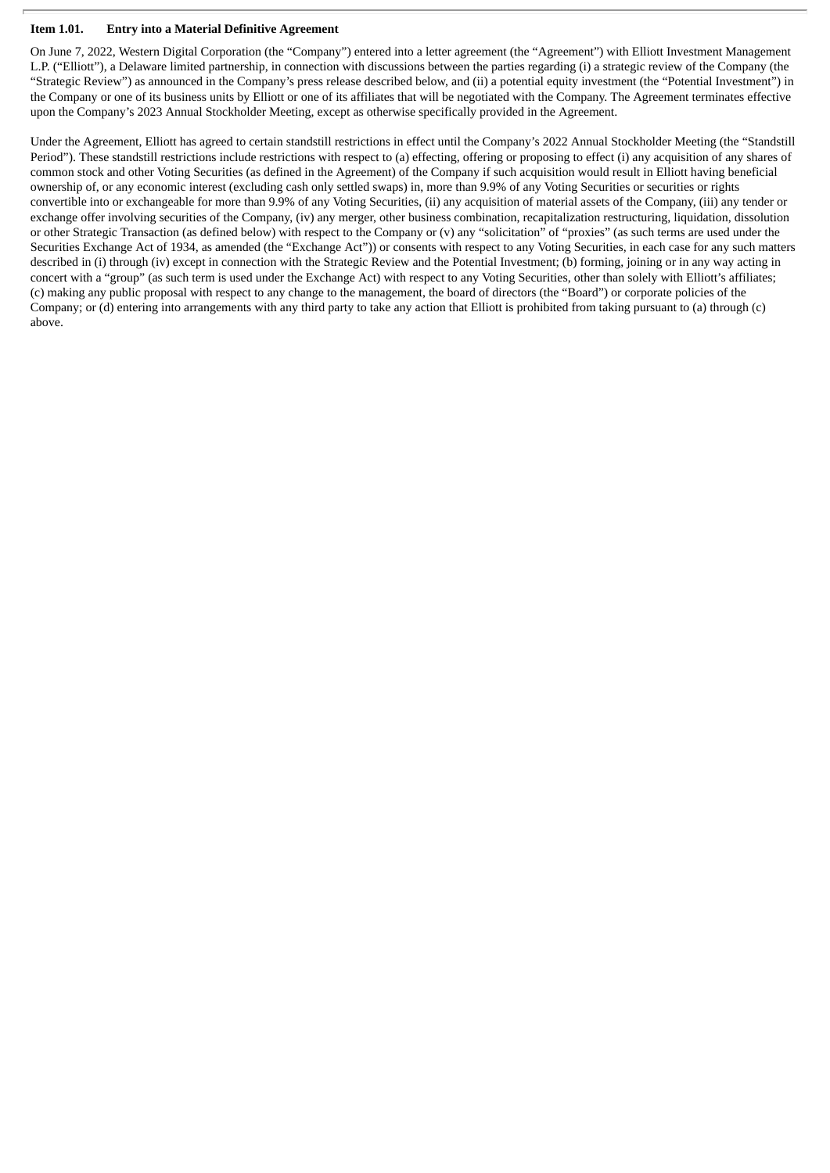## **Item 1.01. Entry into a Material Definitive Agreement**

On June 7, 2022, Western Digital Corporation (the "Company") entered into a letter agreement (the "Agreement") with Elliott Investment Management L.P. ("Elliott"), a Delaware limited partnership, in connection with discussions between the parties regarding (i) a strategic review of the Company (the "Strategic Review") as announced in the Company's press release described below, and (ii) a potential equity investment (the "Potential Investment") in the Company or one of its business units by Elliott or one of its affiliates that will be negotiated with the Company. The Agreement terminates effective upon the Company's 2023 Annual Stockholder Meeting, except as otherwise specifically provided in the Agreement.

Under the Agreement, Elliott has agreed to certain standstill restrictions in effect until the Company's 2022 Annual Stockholder Meeting (the "Standstill Period"). These standstill restrictions include restrictions with respect to (a) effecting, offering or proposing to effect (i) any acquisition of any shares of common stock and other Voting Securities (as defined in the Agreement) of the Company if such acquisition would result in Elliott having beneficial ownership of, or any economic interest (excluding cash only settled swaps) in, more than 9.9% of any Voting Securities or securities or rights convertible into or exchangeable for more than 9.9% of any Voting Securities, (ii) any acquisition of material assets of the Company, (iii) any tender or exchange offer involving securities of the Company, (iv) any merger, other business combination, recapitalization restructuring, liquidation, dissolution or other Strategic Transaction (as defined below) with respect to the Company or (v) any "solicitation" of "proxies" (as such terms are used under the Securities Exchange Act of 1934, as amended (the "Exchange Act")) or consents with respect to any Voting Securities, in each case for any such matters described in (i) through (iv) except in connection with the Strategic Review and the Potential Investment; (b) forming, joining or in any way acting in concert with a "group" (as such term is used under the Exchange Act) with respect to any Voting Securities, other than solely with Elliott's affiliates; (c) making any public proposal with respect to any change to the management, the board of directors (the "Board") or corporate policies of the Company; or (d) entering into arrangements with any third party to take any action that Elliott is prohibited from taking pursuant to (a) through (c) above.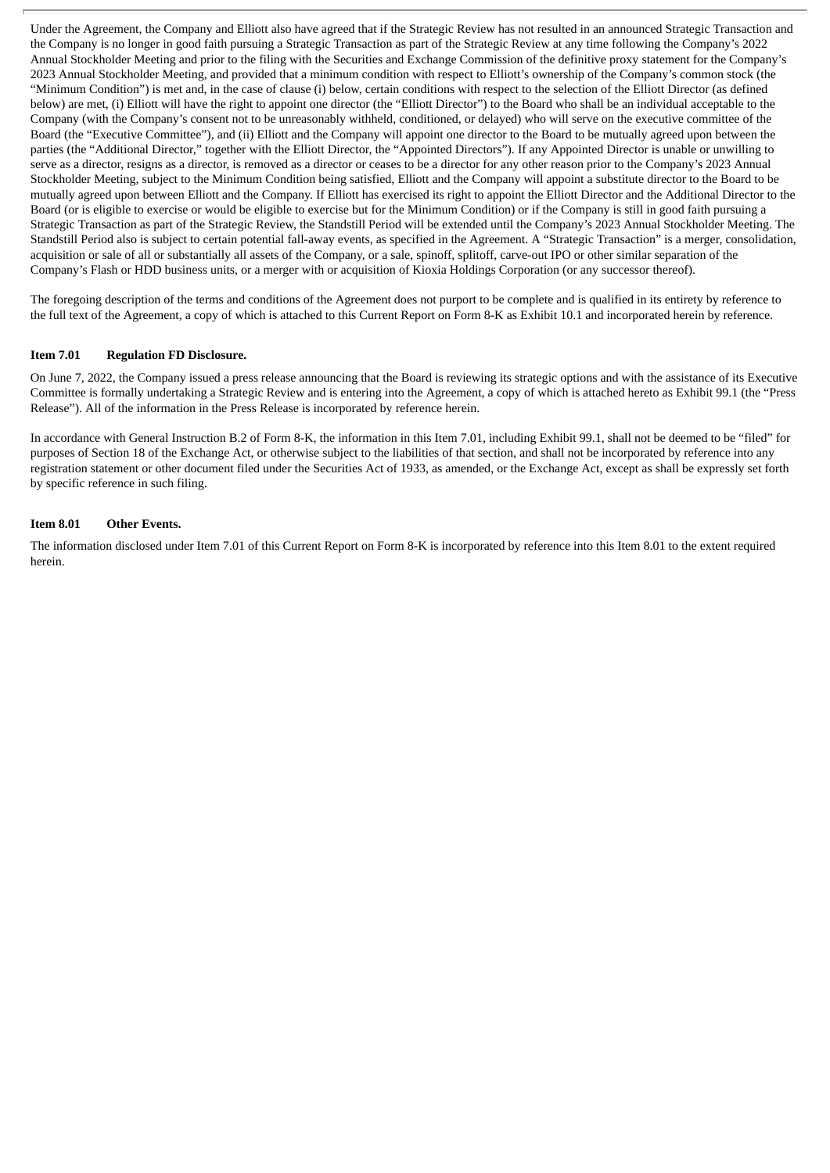Under the Agreement, the Company and Elliott also have agreed that if the Strategic Review has not resulted in an announced Strategic Transaction and the Company is no longer in good faith pursuing a Strategic Transaction as part of the Strategic Review at any time following the Company's 2022 Annual Stockholder Meeting and prior to the filing with the Securities and Exchange Commission of the definitive proxy statement for the Company's 2023 Annual Stockholder Meeting, and provided that a minimum condition with respect to Elliott's ownership of the Company's common stock (the "Minimum Condition") is met and, in the case of clause (i) below, certain conditions with respect to the selection of the Elliott Director (as defined below) are met, (i) Elliott will have the right to appoint one director (the "Elliott Director") to the Board who shall be an individual acceptable to the Company (with the Company's consent not to be unreasonably withheld, conditioned, or delayed) who will serve on the executive committee of the Board (the "Executive Committee"), and (ii) Elliott and the Company will appoint one director to the Board to be mutually agreed upon between the parties (the "Additional Director," together with the Elliott Director, the "Appointed Directors"). If any Appointed Director is unable or unwilling to serve as a director, resigns as a director, is removed as a director or ceases to be a director for any other reason prior to the Company's 2023 Annual Stockholder Meeting, subject to the Minimum Condition being satisfied, Elliott and the Company will appoint a substitute director to the Board to be mutually agreed upon between Elliott and the Company. If Elliott has exercised its right to appoint the Elliott Director and the Additional Director to the Board (or is eligible to exercise or would be eligible to exercise but for the Minimum Condition) or if the Company is still in good faith pursuing a Strategic Transaction as part of the Strategic Review, the Standstill Period will be extended until the Company's 2023 Annual Stockholder Meeting. The Standstill Period also is subject to certain potential fall-away events, as specified in the Agreement. A "Strategic Transaction" is a merger, consolidation, acquisition or sale of all or substantially all assets of the Company, or a sale, spinoff, splitoff, carve-out IPO or other similar separation of the Company's Flash or HDD business units, or a merger with or acquisition of Kioxia Holdings Corporation (or any successor thereof).

The foregoing description of the terms and conditions of the Agreement does not purport to be complete and is qualified in its entirety by reference to the full text of the Agreement, a copy of which is attached to this Current Report on Form 8-K as Exhibit 10.1 and incorporated herein by reference.

#### **Item 7.01 Regulation FD Disclosure.**

On June 7, 2022, the Company issued a press release announcing that the Board is reviewing its strategic options and with the assistance of its Executive Committee is formally undertaking a Strategic Review and is entering into the Agreement, a copy of which is attached hereto as Exhibit 99.1 (the "Press Release"). All of the information in the Press Release is incorporated by reference herein.

In accordance with General Instruction B.2 of Form 8-K, the information in this Item 7.01, including Exhibit 99.1, shall not be deemed to be "filed" for purposes of Section 18 of the Exchange Act, or otherwise subject to the liabilities of that section, and shall not be incorporated by reference into any registration statement or other document filed under the Securities Act of 1933, as amended, or the Exchange Act, except as shall be expressly set forth by specific reference in such filing.

#### **Item 8.01 Other Events.**

The information disclosed under Item 7.01 of this Current Report on Form 8-K is incorporated by reference into this Item 8.01 to the extent required herein.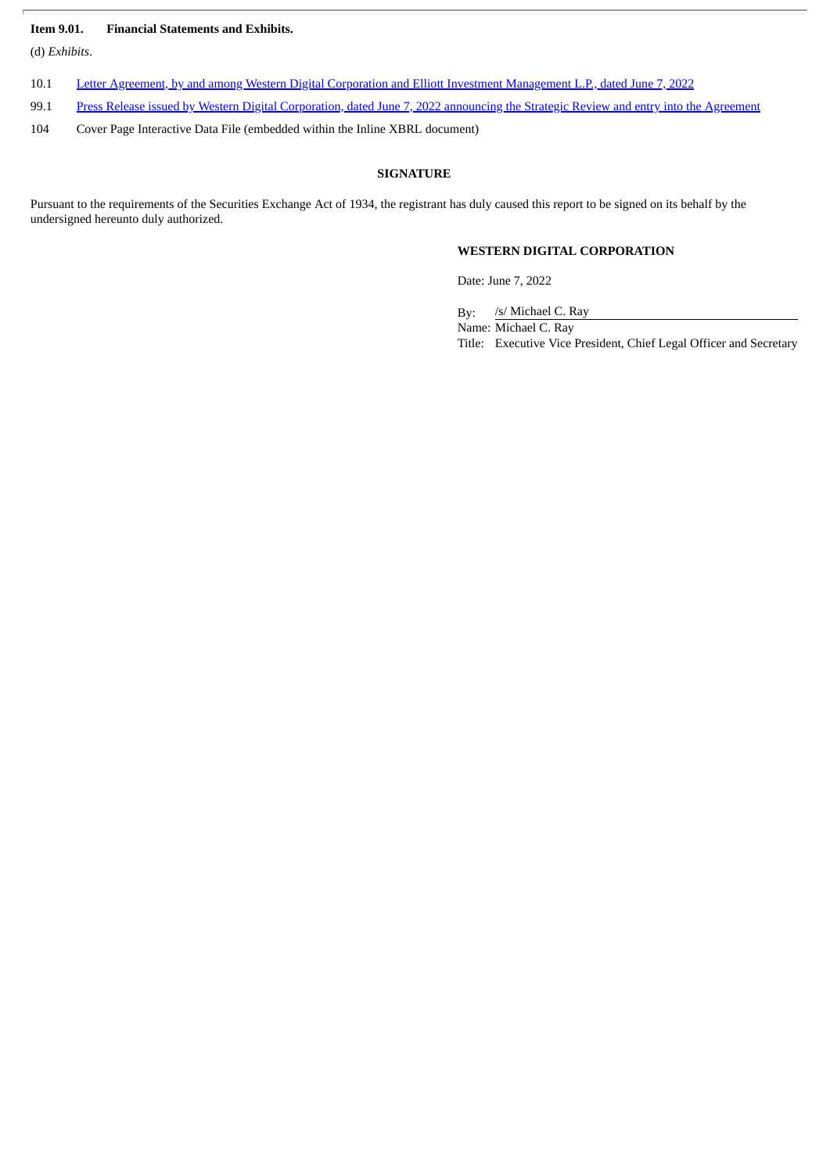## **Item 9.01. Financial Statements and Exhibits.**

(d) *Exhibits*.

- 10.1 Letter Agreement, by and among Western Digital Corporation and Elliott Investment [Management](#page-4-0) L.P., dated June 7, 2022
- 99.1 Press Release issued by Western Digital [Corporation,](#page-11-0) dated June 7, 2022 announcing the Strategic Review and entry into the Agreement
- 104 Cover Page Interactive Data File (embedded within the Inline XBRL document)

## **SIGNATURE**

Pursuant to the requirements of the Securities Exchange Act of 1934, the registrant has duly caused this report to be signed on its behalf by the undersigned hereunto duly authorized.

# **WESTERN DIGITAL CORPORATION**

Date: June 7, 2022

By: /s/ Michael C. Ray Name: Michael C. Ray Title: Executive Vice President, Chief Legal Officer and Secretary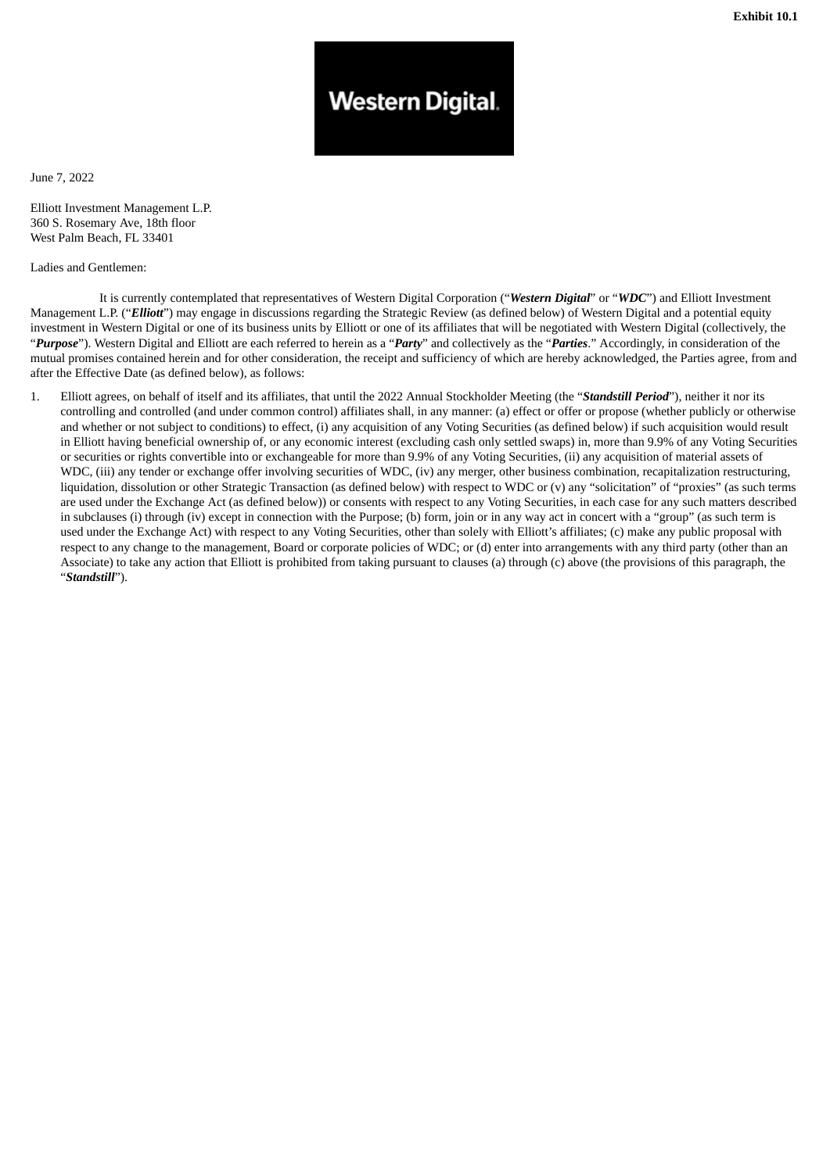# **Western Digital.**

<span id="page-4-0"></span>June 7, 2022

Elliott Investment Management L.P. 360 S. Rosemary Ave, 18th floor West Palm Beach, FL 33401

Ladies and Gentlemen:

It is currently contemplated that representatives of Western Digital Corporation ("*Western Digital*" or "*WDC*") and Elliott Investment Management L.P. ("*Elliott*") may engage in discussions regarding the Strategic Review (as defined below) of Western Digital and a potential equity investment in Western Digital or one of its business units by Elliott or one of its affiliates that will be negotiated with Western Digital (collectively, the "*Purpose*"). Western Digital and Elliott are each referred to herein as a "*Party*" and collectively as the "*Parties*." Accordingly, in consideration of the mutual promises contained herein and for other consideration, the receipt and sufficiency of which are hereby acknowledged, the Parties agree, from and after the Effective Date (as defined below), as follows:

1. Elliott agrees, on behalf of itself and its affiliates, that until the 2022 Annual Stockholder Meeting (the "*Standstill Period*"), neither it nor its controlling and controlled (and under common control) affiliates shall, in any manner: (a) effect or offer or propose (whether publicly or otherwise and whether or not subject to conditions) to effect, (i) any acquisition of any Voting Securities (as defined below) if such acquisition would result in Elliott having beneficial ownership of, or any economic interest (excluding cash only settled swaps) in, more than 9.9% of any Voting Securities or securities or rights convertible into or exchangeable for more than 9.9% of any Voting Securities, (ii) any acquisition of material assets of WDC, (iii) any tender or exchange offer involving securities of WDC, (iv) any merger, other business combination, recapitalization restructuring, liquidation, dissolution or other Strategic Transaction (as defined below) with respect to WDC or (v) any "solicitation" of "proxies" (as such terms are used under the Exchange Act (as defined below)) or consents with respect to any Voting Securities, in each case for any such matters described in subclauses (i) through (iv) except in connection with the Purpose; (b) form, join or in any way act in concert with a "group" (as such term is used under the Exchange Act) with respect to any Voting Securities, other than solely with Elliott's affiliates; (c) make any public proposal with respect to any change to the management, Board or corporate policies of WDC; or (d) enter into arrangements with any third party (other than an Associate) to take any action that Elliott is prohibited from taking pursuant to clauses (a) through (c) above (the provisions of this paragraph, the "*Standstill*").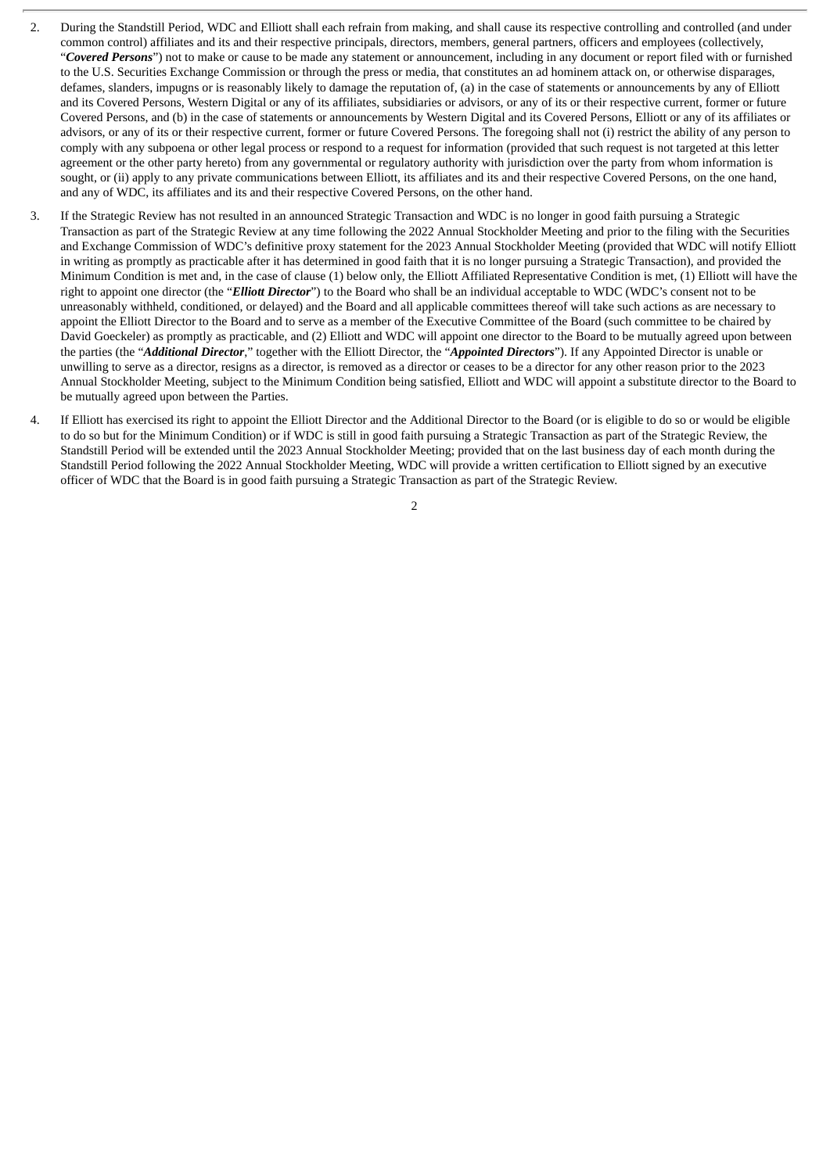- 2. During the Standstill Period, WDC and Elliott shall each refrain from making, and shall cause its respective controlling and controlled (and under common control) affiliates and its and their respective principals, directors, members, general partners, officers and employees (collectively, "*Covered Persons*") not to make or cause to be made any statement or announcement, including in any document or report filed with or furnished to the U.S. Securities Exchange Commission or through the press or media, that constitutes an ad hominem attack on, or otherwise disparages, defames, slanders, impugns or is reasonably likely to damage the reputation of, (a) in the case of statements or announcements by any of Elliott and its Covered Persons, Western Digital or any of its affiliates, subsidiaries or advisors, or any of its or their respective current, former or future Covered Persons, and (b) in the case of statements or announcements by Western Digital and its Covered Persons, Elliott or any of its affiliates or advisors, or any of its or their respective current, former or future Covered Persons. The foregoing shall not (i) restrict the ability of any person to comply with any subpoena or other legal process or respond to a request for information (provided that such request is not targeted at this letter agreement or the other party hereto) from any governmental or regulatory authority with jurisdiction over the party from whom information is sought, or (ii) apply to any private communications between Elliott, its affiliates and its and their respective Covered Persons, on the one hand, and any of WDC, its affiliates and its and their respective Covered Persons, on the other hand.
- 3. If the Strategic Review has not resulted in an announced Strategic Transaction and WDC is no longer in good faith pursuing a Strategic Transaction as part of the Strategic Review at any time following the 2022 Annual Stockholder Meeting and prior to the filing with the Securities and Exchange Commission of WDC's definitive proxy statement for the 2023 Annual Stockholder Meeting (provided that WDC will notify Elliott in writing as promptly as practicable after it has determined in good faith that it is no longer pursuing a Strategic Transaction), and provided the Minimum Condition is met and, in the case of clause (1) below only, the Elliott Affiliated Representative Condition is met, (1) Elliott will have the right to appoint one director (the "*Elliott Director*") to the Board who shall be an individual acceptable to WDC (WDC's consent not to be unreasonably withheld, conditioned, or delayed) and the Board and all applicable committees thereof will take such actions as are necessary to appoint the Elliott Director to the Board and to serve as a member of the Executive Committee of the Board (such committee to be chaired by David Goeckeler) as promptly as practicable, and (2) Elliott and WDC will appoint one director to the Board to be mutually agreed upon between the parties (the "*Additional Director*," together with the Elliott Director, the "*Appointed Directors*"). If any Appointed Director is unable or unwilling to serve as a director, resigns as a director, is removed as a director or ceases to be a director for any other reason prior to the 2023 Annual Stockholder Meeting, subject to the Minimum Condition being satisfied, Elliott and WDC will appoint a substitute director to the Board to be mutually agreed upon between the Parties.
- 4. If Elliott has exercised its right to appoint the Elliott Director and the Additional Director to the Board (or is eligible to do so or would be eligible to do so but for the Minimum Condition) or if WDC is still in good faith pursuing a Strategic Transaction as part of the Strategic Review, the Standstill Period will be extended until the 2023 Annual Stockholder Meeting; provided that on the last business day of each month during the Standstill Period following the 2022 Annual Stockholder Meeting, WDC will provide a written certification to Elliott signed by an executive officer of WDC that the Board is in good faith pursuing a Strategic Transaction as part of the Strategic Review.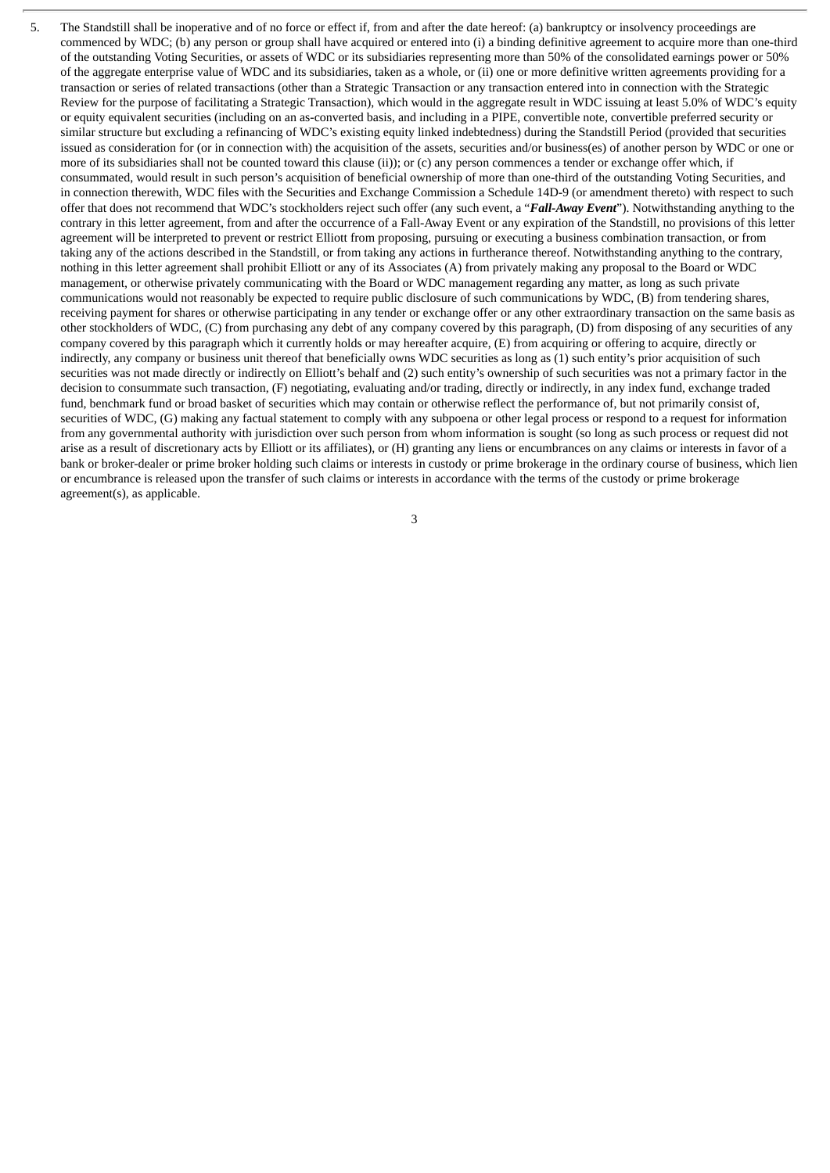5. The Standstill shall be inoperative and of no force or effect if, from and after the date hereof: (a) bankruptcy or insolvency proceedings are commenced by WDC; (b) any person or group shall have acquired or entered into (i) a binding definitive agreement to acquire more than one-third of the outstanding Voting Securities, or assets of WDC or its subsidiaries representing more than 50% of the consolidated earnings power or 50% of the aggregate enterprise value of WDC and its subsidiaries, taken as a whole, or (ii) one or more definitive written agreements providing for a transaction or series of related transactions (other than a Strategic Transaction or any transaction entered into in connection with the Strategic Review for the purpose of facilitating a Strategic Transaction), which would in the aggregate result in WDC issuing at least 5.0% of WDC's equity or equity equivalent securities (including on an as-converted basis, and including in a PIPE, convertible note, convertible preferred security or similar structure but excluding a refinancing of WDC's existing equity linked indebtedness) during the Standstill Period (provided that securities issued as consideration for (or in connection with) the acquisition of the assets, securities and/or business(es) of another person by WDC or one or more of its subsidiaries shall not be counted toward this clause (ii)); or (c) any person commences a tender or exchange offer which, if consummated, would result in such person's acquisition of beneficial ownership of more than one-third of the outstanding Voting Securities, and in connection therewith, WDC files with the Securities and Exchange Commission a Schedule 14D-9 (or amendment thereto) with respect to such offer that does not recommend that WDC's stockholders reject such offer (any such event, a "*Fall-Away Event*"). Notwithstanding anything to the contrary in this letter agreement, from and after the occurrence of a Fall-Away Event or any expiration of the Standstill, no provisions of this letter agreement will be interpreted to prevent or restrict Elliott from proposing, pursuing or executing a business combination transaction, or from taking any of the actions described in the Standstill, or from taking any actions in furtherance thereof. Notwithstanding anything to the contrary, nothing in this letter agreement shall prohibit Elliott or any of its Associates (A) from privately making any proposal to the Board or WDC management, or otherwise privately communicating with the Board or WDC management regarding any matter, as long as such private communications would not reasonably be expected to require public disclosure of such communications by WDC, (B) from tendering shares, receiving payment for shares or otherwise participating in any tender or exchange offer or any other extraordinary transaction on the same basis as other stockholders of WDC, (C) from purchasing any debt of any company covered by this paragraph, (D) from disposing of any securities of any company covered by this paragraph which it currently holds or may hereafter acquire, (E) from acquiring or offering to acquire, directly or indirectly, any company or business unit thereof that beneficially owns WDC securities as long as (1) such entity's prior acquisition of such securities was not made directly or indirectly on Elliott's behalf and (2) such entity's ownership of such securities was not a primary factor in the decision to consummate such transaction, (F) negotiating, evaluating and/or trading, directly or indirectly, in any index fund, exchange traded fund, benchmark fund or broad basket of securities which may contain or otherwise reflect the performance of, but not primarily consist of, securities of WDC, (G) making any factual statement to comply with any subpoena or other legal process or respond to a request for information from any governmental authority with jurisdiction over such person from whom information is sought (so long as such process or request did not arise as a result of discretionary acts by Elliott or its affiliates), or (H) granting any liens or encumbrances on any claims or interests in favor of a bank or broker-dealer or prime broker holding such claims or interests in custody or prime brokerage in the ordinary course of business, which lien or encumbrance is released upon the transfer of such claims or interests in accordance with the terms of the custody or prime brokerage agreement(s), as applicable.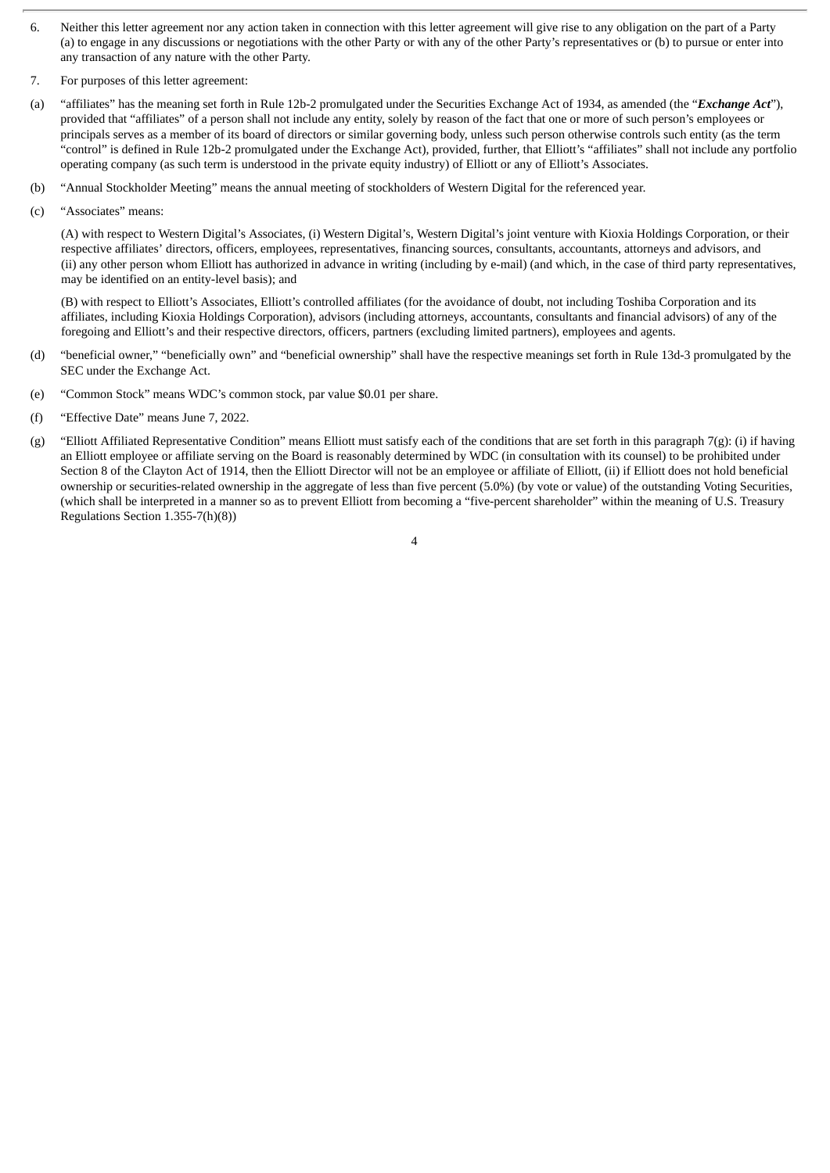- 6. Neither this letter agreement nor any action taken in connection with this letter agreement will give rise to any obligation on the part of a Party (a) to engage in any discussions or negotiations with the other Party or with any of the other Party's representatives or (b) to pursue or enter into any transaction of any nature with the other Party.
- 7. For purposes of this letter agreement:
- (a) "affiliates" has the meaning set forth in Rule 12b-2 promulgated under the Securities Exchange Act of 1934, as amended (the "*Exchange Act*"), provided that "affiliates" of a person shall not include any entity, solely by reason of the fact that one or more of such person's employees or principals serves as a member of its board of directors or similar governing body, unless such person otherwise controls such entity (as the term "control" is defined in Rule 12b-2 promulgated under the Exchange Act), provided, further, that Elliott's "affiliates" shall not include any portfolio operating company (as such term is understood in the private equity industry) of Elliott or any of Elliott's Associates.
- (b) "Annual Stockholder Meeting" means the annual meeting of stockholders of Western Digital for the referenced year.
- (c) "Associates" means:

(A) with respect to Western Digital's Associates, (i) Western Digital's, Western Digital's joint venture with Kioxia Holdings Corporation, or their respective affiliates' directors, officers, employees, representatives, financing sources, consultants, accountants, attorneys and advisors, and (ii) any other person whom Elliott has authorized in advance in writing (including by e-mail) (and which, in the case of third party representatives, may be identified on an entity-level basis); and

(B) with respect to Elliott's Associates, Elliott's controlled affiliates (for the avoidance of doubt, not including Toshiba Corporation and its affiliates, including Kioxia Holdings Corporation), advisors (including attorneys, accountants, consultants and financial advisors) of any of the foregoing and Elliott's and their respective directors, officers, partners (excluding limited partners), employees and agents.

- (d) "beneficial owner," "beneficially own" and "beneficial ownership" shall have the respective meanings set forth in Rule 13d-3 promulgated by the SEC under the Exchange Act.
- (e) "Common Stock" means WDC's common stock, par value \$0.01 per share.
- (f) "Effective Date" means June 7, 2022.
- (g) "Elliott Affiliated Representative Condition" means Elliott must satisfy each of the conditions that are set forth in this paragraph 7(g): (i) if having an Elliott employee or affiliate serving on the Board is reasonably determined by WDC (in consultation with its counsel) to be prohibited under Section 8 of the Clayton Act of 1914, then the Elliott Director will not be an employee or affiliate of Elliott, (ii) if Elliott does not hold beneficial ownership or securities-related ownership in the aggregate of less than five percent (5.0%) (by vote or value) of the outstanding Voting Securities, (which shall be interpreted in a manner so as to prevent Elliott from becoming a "five-percent shareholder" within the meaning of U.S. Treasury Regulations Section 1.355-7(h)(8))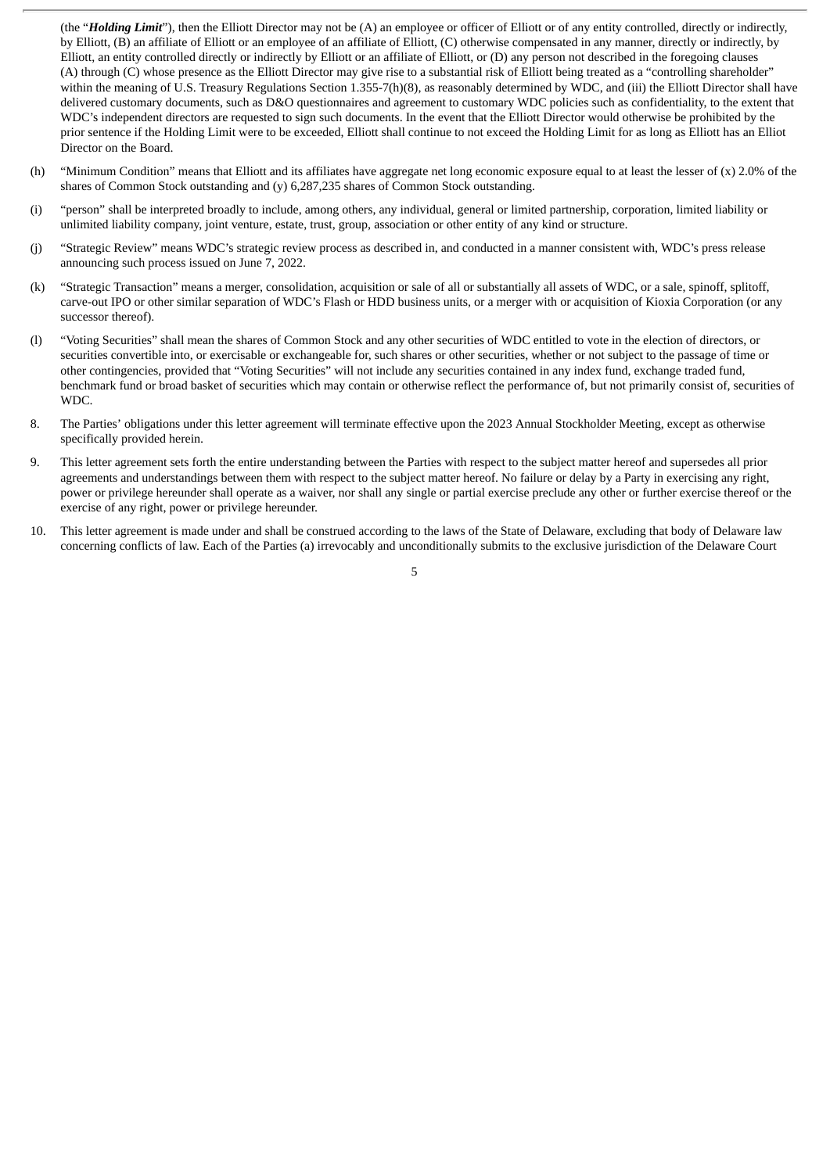(the "*Holding Limit*"), then the Elliott Director may not be (A) an employee or officer of Elliott or of any entity controlled, directly or indirectly, by Elliott, (B) an affiliate of Elliott or an employee of an affiliate of Elliott, (C) otherwise compensated in any manner, directly or indirectly, by Elliott, an entity controlled directly or indirectly by Elliott or an affiliate of Elliott, or (D) any person not described in the foregoing clauses (A) through (C) whose presence as the Elliott Director may give rise to a substantial risk of Elliott being treated as a "controlling shareholder" within the meaning of U.S. Treasury Regulations Section 1.355-7(h)(8), as reasonably determined by WDC, and (iii) the Elliott Director shall have delivered customary documents, such as D&O questionnaires and agreement to customary WDC policies such as confidentiality, to the extent that WDC's independent directors are requested to sign such documents. In the event that the Elliott Director would otherwise be prohibited by the prior sentence if the Holding Limit were to be exceeded, Elliott shall continue to not exceed the Holding Limit for as long as Elliott has an Elliot Director on the Board.

- (h) "Minimum Condition" means that Elliott and its affiliates have aggregate net long economic exposure equal to at least the lesser of (x) 2.0% of the shares of Common Stock outstanding and (y) 6,287,235 shares of Common Stock outstanding.
- (i) "person" shall be interpreted broadly to include, among others, any individual, general or limited partnership, corporation, limited liability or unlimited liability company, joint venture, estate, trust, group, association or other entity of any kind or structure.
- (j) "Strategic Review" means WDC's strategic review process as described in, and conducted in a manner consistent with, WDC's press release announcing such process issued on June 7, 2022.
- (k) "Strategic Transaction" means a merger, consolidation, acquisition or sale of all or substantially all assets of WDC, or a sale, spinoff, splitoff, carve-out IPO or other similar separation of WDC's Flash or HDD business units, or a merger with or acquisition of Kioxia Corporation (or any successor thereof).
- (l) "Voting Securities" shall mean the shares of Common Stock and any other securities of WDC entitled to vote in the election of directors, or securities convertible into, or exercisable or exchangeable for, such shares or other securities, whether or not subject to the passage of time or other contingencies, provided that "Voting Securities" will not include any securities contained in any index fund, exchange traded fund, benchmark fund or broad basket of securities which may contain or otherwise reflect the performance of, but not primarily consist of, securities of WDC.
- 8. The Parties' obligations under this letter agreement will terminate effective upon the 2023 Annual Stockholder Meeting, except as otherwise specifically provided herein.
- 9. This letter agreement sets forth the entire understanding between the Parties with respect to the subject matter hereof and supersedes all prior agreements and understandings between them with respect to the subject matter hereof. No failure or delay by a Party in exercising any right, power or privilege hereunder shall operate as a waiver, nor shall any single or partial exercise preclude any other or further exercise thereof or the exercise of any right, power or privilege hereunder.
- 10. This letter agreement is made under and shall be construed according to the laws of the State of Delaware, excluding that body of Delaware law concerning conflicts of law. Each of the Parties (a) irrevocably and unconditionally submits to the exclusive jurisdiction of the Delaware Court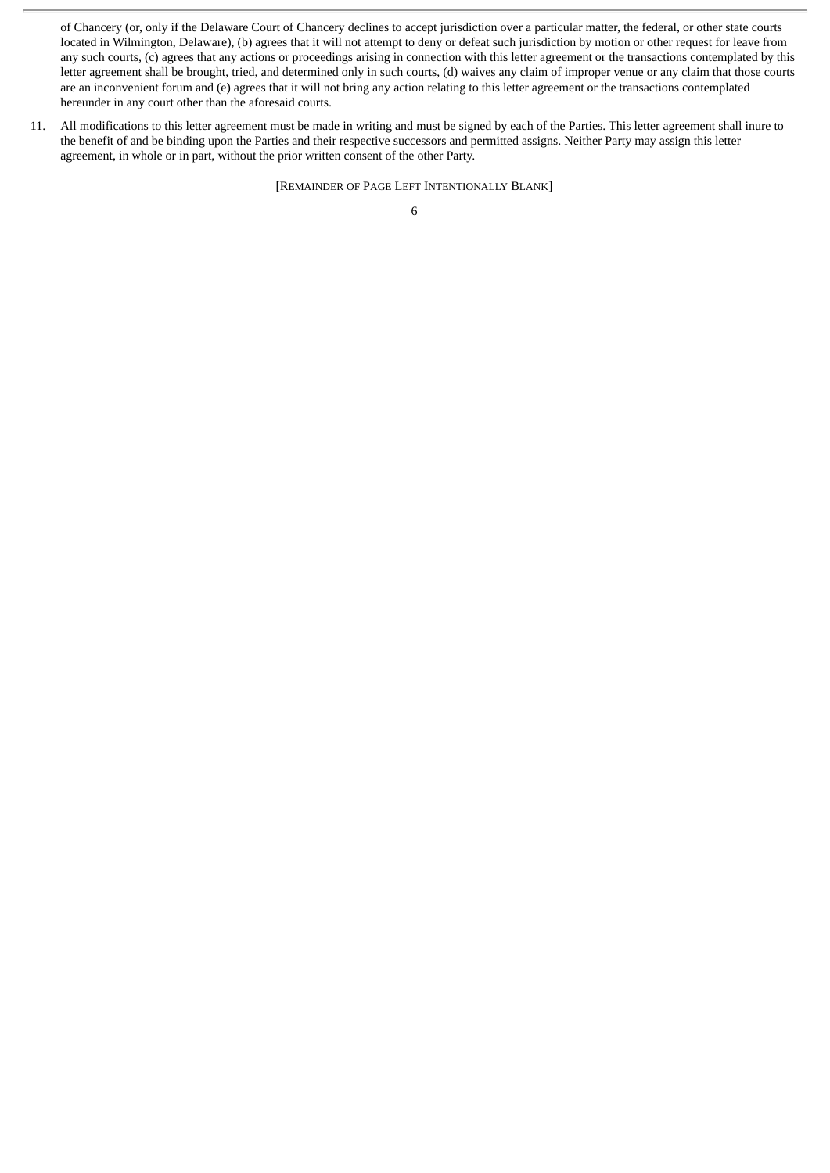of Chancery (or, only if the Delaware Court of Chancery declines to accept jurisdiction over a particular matter, the federal, or other state courts located in Wilmington, Delaware), (b) agrees that it will not attempt to deny or defeat such jurisdiction by motion or other request for leave from any such courts, (c) agrees that any actions or proceedings arising in connection with this letter agreement or the transactions contemplated by this letter agreement shall be brought, tried, and determined only in such courts, (d) waives any claim of improper venue or any claim that those courts are an inconvenient forum and (e) agrees that it will not bring any action relating to this letter agreement or the transactions contemplated hereunder in any court other than the aforesaid courts.

11. All modifications to this letter agreement must be made in writing and must be signed by each of the Parties. This letter agreement shall inure to the benefit of and be binding upon the Parties and their respective successors and permitted assigns. Neither Party may assign this letter agreement, in whole or in part, without the prior written consent of the other Party.

[REMAINDER OF PAGE LEFT INTENTIONALLY BLANK]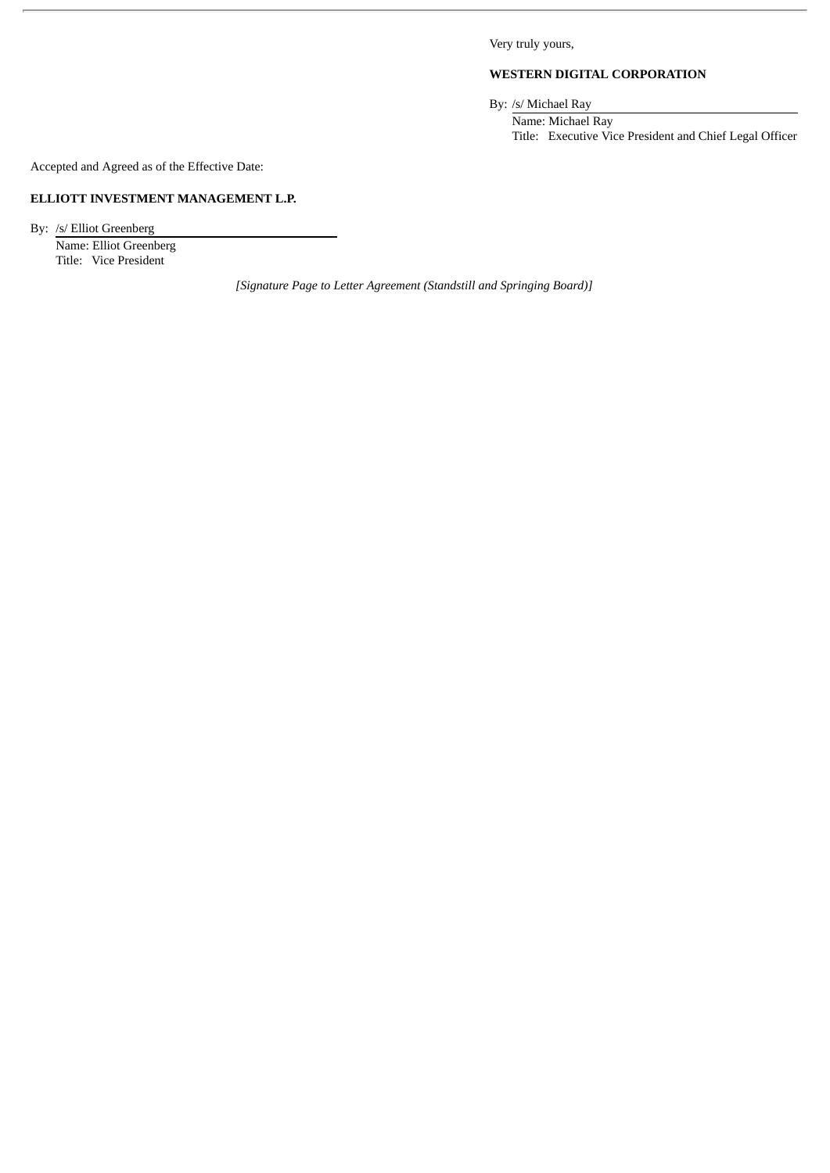Very truly yours,

# **WESTERN DIGITAL CORPORATION**

By: /s/ Michael Ray

Name: Michael Ray Title: Executive Vice President and Chief Legal Officer

Accepted and Agreed as of the Effective Date:

# **ELLIOTT INVESTMENT MANAGEMENT L.P.**

By: /s/ Elliot Greenberg Name: Elliot Greenberg Title: Vice President

*[Signature Page to Letter Agreement (Standstill and Springing Board)]*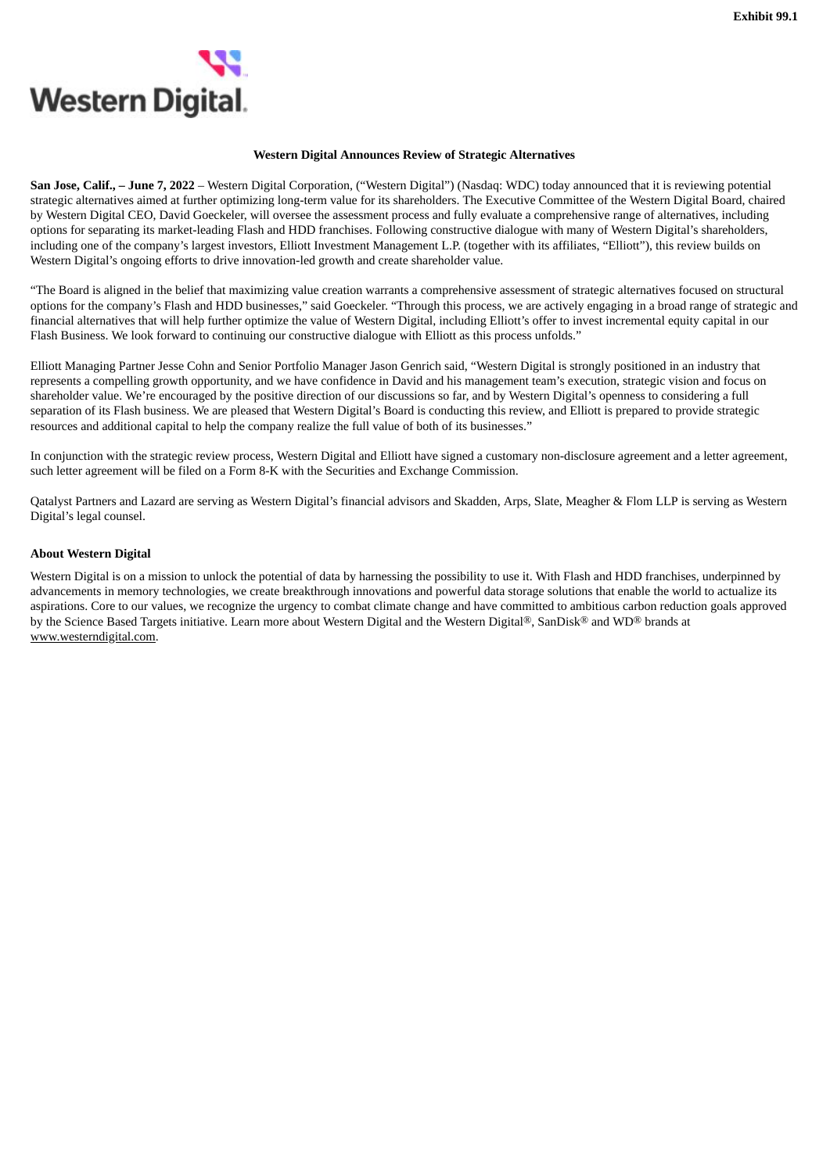<span id="page-11-0"></span>

#### **Western Digital Announces Review of Strategic Alternatives**

**San Jose, Calif., – June 7, 2022** – Western Digital Corporation, ("Western Digital") (Nasdaq: WDC) today announced that it is reviewing potential strategic alternatives aimed at further optimizing long-term value for its shareholders. The Executive Committee of the Western Digital Board, chaired by Western Digital CEO, David Goeckeler, will oversee the assessment process and fully evaluate a comprehensive range of alternatives, including options for separating its market-leading Flash and HDD franchises. Following constructive dialogue with many of Western Digital's shareholders, including one of the company's largest investors, Elliott Investment Management L.P. (together with its affiliates, "Elliott"), this review builds on Western Digital's ongoing efforts to drive innovation-led growth and create shareholder value.

"The Board is aligned in the belief that maximizing value creation warrants a comprehensive assessment of strategic alternatives focused on structural options for the company's Flash and HDD businesses," said Goeckeler. "Through this process, we are actively engaging in a broad range of strategic and financial alternatives that will help further optimize the value of Western Digital, including Elliott's offer to invest incremental equity capital in our Flash Business. We look forward to continuing our constructive dialogue with Elliott as this process unfolds."

Elliott Managing Partner Jesse Cohn and Senior Portfolio Manager Jason Genrich said, "Western Digital is strongly positioned in an industry that represents a compelling growth opportunity, and we have confidence in David and his management team's execution, strategic vision and focus on shareholder value. We're encouraged by the positive direction of our discussions so far, and by Western Digital's openness to considering a full separation of its Flash business. We are pleased that Western Digital's Board is conducting this review, and Elliott is prepared to provide strategic resources and additional capital to help the company realize the full value of both of its businesses."

In conjunction with the strategic review process, Western Digital and Elliott have signed a customary non-disclosure agreement and a letter agreement, such letter agreement will be filed on a Form 8-K with the Securities and Exchange Commission.

Qatalyst Partners and Lazard are serving as Western Digital's financial advisors and Skadden, Arps, Slate, Meagher & Flom LLP is serving as Western Digital's legal counsel.

#### **About Western Digital**

Western Digital is on a mission to unlock the potential of data by harnessing the possibility to use it. With Flash and HDD franchises, underpinned by advancements in memory technologies, we create breakthrough innovations and powerful data storage solutions that enable the world to actualize its aspirations. Core to our values, we recognize the urgency to combat climate change and have committed to ambitious carbon reduction goals approved by the Science Based Targets initiative. Learn more about Western Digital and the Western Digital®, SanDisk® and WD® brands at www.westerndigital.com.